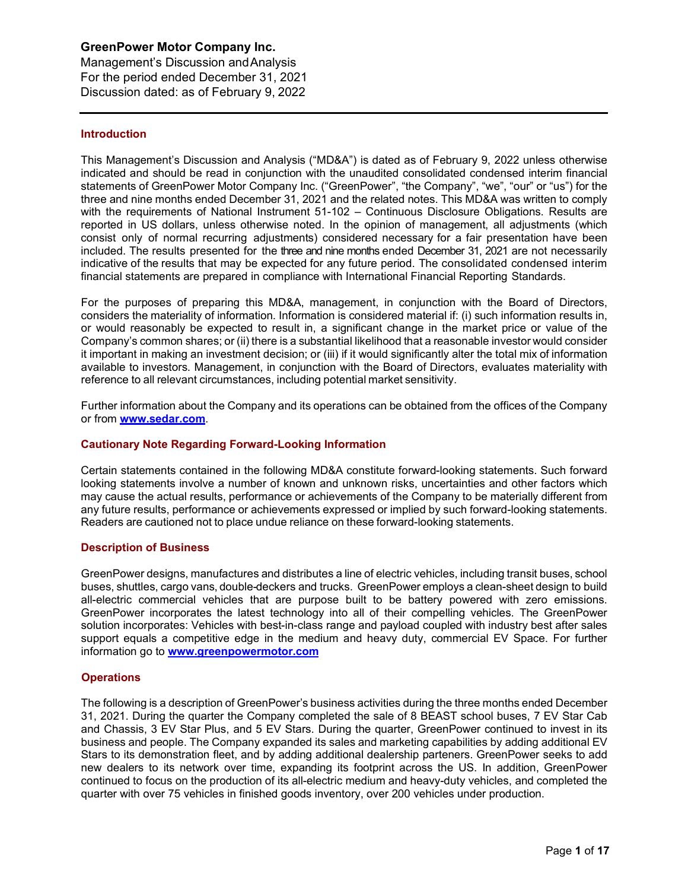Management's Discussion andAnalysis For the period ended December 31, 2021 Discussion dated: as of February 9, 2022

## **Introduction**

This Management's Discussion and Analysis ("MD&A") is dated as of February 9, 2022 unless otherwise indicated and should be read in conjunction with the unaudited consolidated condensed interim financial statements of GreenPower Motor Company Inc. ("GreenPower", "the Company", "we", "our" or "us") for the three and nine months ended December 31, 2021 and the related notes. This MD&A was written to comply with the requirements of National Instrument 51-102 – Continuous Disclosure Obligations. Results are reported in US dollars, unless otherwise noted. In the opinion of management, all adjustments (which consist only of normal recurring adjustments) considered necessary for a fair presentation have been included. The results presented for the three and nine months ended December 31, 2021 are not necessarily indicative of the results that may be expected for any future period. The consolidated condensed interim financial statements are prepared in compliance with International Financial Reporting Standards.

For the purposes of preparing this MD&A, management, in conjunction with the Board of Directors, considers the materiality of information. Information is considered material if: (i) such information results in, or would reasonably be expected to result in, a significant change in the market price or value of the Company's common shares; or (ii) there is a substantial likelihood that a reasonable investor would consider it important in making an investment decision; or (iii) if it would significantly alter the total mix of information available to investors. Management, in conjunction with the Board of Directors, evaluates materiality with reference to all relevant circumstances, including potential market sensitivity.

Further information about the Company and its operations can be obtained from the offices of the Company or from **[www.sedar.com](http://www.sedar.com/)**.

#### **Cautionary Note Regarding Forward-Looking Information**

Certain statements contained in the following MD&A constitute forward-looking statements. Such forward looking statements involve a number of known and unknown risks, uncertainties and other factors which may cause the actual results, performance or achievements of the Company to be materially different from any future results, performance or achievements expressed or implied by such forward-looking statements. Readers are cautioned not to place undue reliance on these forward-looking statements.

#### **Description of Business**

GreenPower designs, manufactures and distributes a line of electric vehicles, including transit buses, school buses, shuttles, cargo vans, double-deckers and trucks. GreenPower employs a clean-sheet design to build all-electric commercial vehicles that are purpose built to be battery powered with zero emissions. GreenPower incorporates the latest technology into all of their compelling vehicles. The GreenPower solution incorporates: Vehicles with best-in-class range and payload coupled with industry best after sales support equals a competitive edge in the medium and heavy duty, commercial EV Space. For further information go to **[www.greenpowermotor.com](http://www.greenpowermotor.com/)**

#### **Operations**

The following is a description of GreenPower's business activities during the three months ended December 31, 2021. During the quarter the Company completed the sale of 8 BEAST school buses, 7 EV Star Cab and Chassis, 3 EV Star Plus, and 5 EV Stars. During the quarter, GreenPower continued to invest in its business and people. The Company expanded its sales and marketing capabilities by adding additional EV Stars to its demonstration fleet, and by adding additional dealership parteners. GreenPower seeks to add new dealers to its network over time, expanding its footprint across the US. In addition, GreenPower continued to focus on the production of its all-electric medium and heavy-duty vehicles, and completed the quarter with over 75 vehicles in finished goods inventory, over 200 vehicles under production.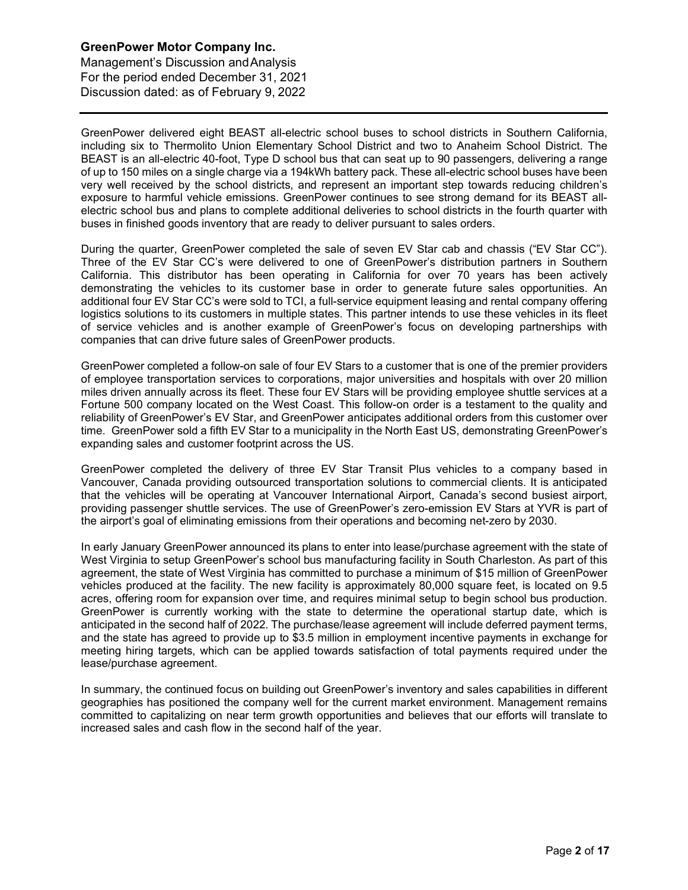Management's Discussion andAnalysis For the period ended December 31, 2021 Discussion dated: as of February 9, 2022

GreenPower delivered eight BEAST all-electric school buses to school districts in Southern California, including six to Thermolito Union Elementary School District and two to Anaheim School District. The BEAST is an all-electric 40-foot, Type D school bus that can seat up to 90 passengers, delivering a range of up to 150 miles on a single charge via a 194kWh battery pack. These all-electric school buses have been very well received by the school districts, and represent an important step towards reducing children's exposure to harmful vehicle emissions. GreenPower continues to see strong demand for its BEAST allelectric school bus and plans to complete additional deliveries to school districts in the fourth quarter with buses in finished goods inventory that are ready to deliver pursuant to sales orders.

During the quarter, GreenPower completed the sale of seven EV Star cab and chassis ("EV Star CC"). Three of the EV Star CC's were delivered to one of GreenPower's distribution partners in Southern California. This distributor has been operating in California for over 70 years has been actively demonstrating the vehicles to its customer base in order to generate future sales opportunities. An additional four EV Star CC's were sold to TCI, a full-service equipment leasing and rental company offering logistics solutions to its customers in multiple states. This partner intends to use these vehicles in its fleet of service vehicles and is another example of GreenPower's focus on developing partnerships with companies that can drive future sales of GreenPower products.

GreenPower completed a follow-on sale of four EV Stars to a customer that is one of the premier providers of employee transportation services to corporations, major universities and hospitals with over 20 million miles driven annually across its fleet. These four EV Stars will be providing employee shuttle services at a Fortune 500 company located on the West Coast. This follow-on order is a testament to the quality and reliability of GreenPower's EV Star, and GreenPower anticipates additional orders from this customer over time. GreenPower sold a fifth EV Star to a municipality in the North East US, demonstrating GreenPower's expanding sales and customer footprint across the US.

GreenPower completed the delivery of three EV Star Transit Plus vehicles to a company based in Vancouver, Canada providing outsourced transportation solutions to commercial clients. It is anticipated that the vehicles will be operating at Vancouver International Airport, Canada's second busiest airport, providing passenger shuttle services. The use of GreenPower's zero-emission EV Stars at YVR is part of the airport's goal of eliminating emissions from their operations and becoming net-zero by 2030.

In early January GreenPower announced its plans to enter into lease/purchase agreement with the state of West Virginia to setup GreenPower's school bus manufacturing facility in South Charleston. As part of this agreement, the state of West Virginia has committed to purchase a minimum of \$15 million of GreenPower vehicles produced at the facility. The new facility is approximately 80,000 square feet, is located on 9.5 acres, offering room for expansion over time, and requires minimal setup to begin school bus production. GreenPower is currently working with the state to determine the operational startup date, which is anticipated in the second half of 2022. The purchase/lease agreement will include deferred payment terms, and the state has agreed to provide up to \$3.5 million in employment incentive payments in exchange for meeting hiring targets, which can be applied towards satisfaction of total payments required under the lease/purchase agreement.

In summary, the continued focus on building out GreenPower's inventory and sales capabilities in different geographies has positioned the company well for the current market environment. Management remains committed to capitalizing on near term growth opportunities and believes that our efforts will translate to increased sales and cash flow in the second half of the year.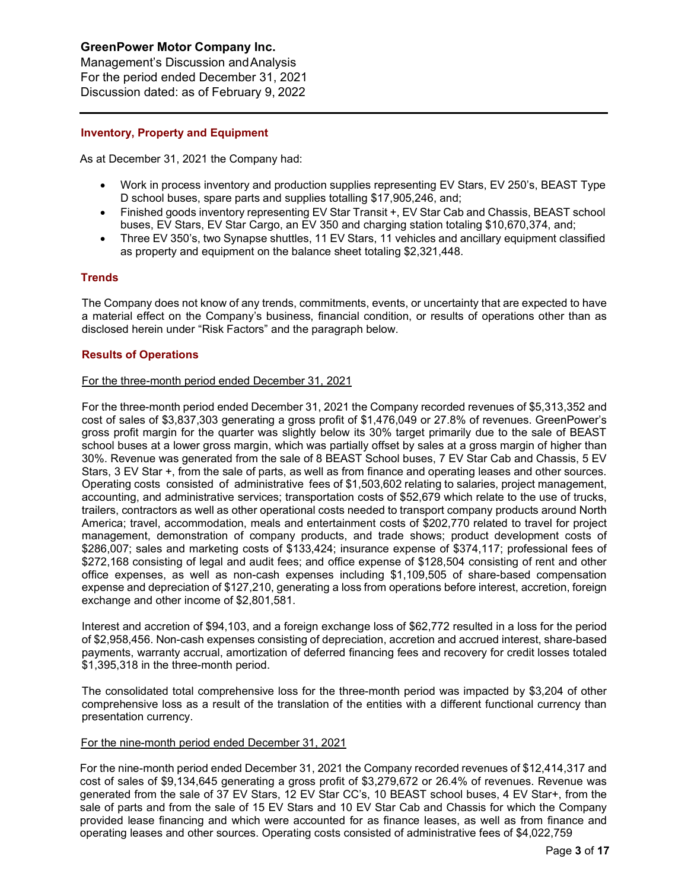Management's Discussion andAnalysis For the period ended December 31, 2021 Discussion dated: as of February 9, 2022

## **Inventory, Property and Equipment**

As at December 31, 2021 the Company had:

- Work in process inventory and production supplies representing EV Stars, EV 250's, BEAST Type D school buses, spare parts and supplies totalling \$17,905,246, and;
- Finished goods inventory representing EV Star Transit +, EV Star Cab and Chassis, BEAST school buses, EV Stars, EV Star Cargo, an EV 350 and charging station totaling \$10,670,374, and;
- Three EV 350's, two Synapse shuttles, 11 EV Stars, 11 vehicles and ancillary equipment classified as property and equipment on the balance sheet totaling \$2,321,448.

## **Trends**

The Company does not know of any trends, commitments, events, or uncertainty that are expected to have a material effect on the Company's business, financial condition, or results of operations other than as disclosed herein under "Risk Factors" and the paragraph below.

## **Results of Operations**

## For the three-month period ended December 31, 2021

For the three-month period ended December 31, 2021 the Company recorded revenues of \$5,313,352 and cost of sales of \$3,837,303 generating a gross profit of \$1,476,049 or 27.8% of revenues. GreenPower's gross profit margin for the quarter was slightly below its 30% target primarily due to the sale of BEAST school buses at a lower gross margin, which was partially offset by sales at a gross margin of higher than 30%. Revenue was generated from the sale of 8 BEAST School buses, 7 EV Star Cab and Chassis, 5 EV Stars, 3 EV Star +, from the sale of parts, as well as from finance and operating leases and other sources. Operating costs consisted of administrative fees of \$1,503,602 relating to salaries, project management, accounting, and administrative services; transportation costs of \$52,679 which relate to the use of trucks, trailers, contractors as well as other operational costs needed to transport company products around North America; travel, accommodation, meals and entertainment costs of \$202,770 related to travel for project management, demonstration of company products, and trade shows; product development costs of \$286,007; sales and marketing costs of \$133,424; insurance expense of \$374,117; professional fees of \$272,168 consisting of legal and audit fees; and office expense of \$128,504 consisting of rent and other office expenses, as well as non-cash expenses including \$1,109,505 of share-based compensation expense and depreciation of \$127,210, generating a loss from operations before interest, accretion, foreign exchange and other income of \$2,801,581.

Interest and accretion of \$94,103, and a foreign exchange loss of \$62,772 resulted in a loss for the period of \$2,958,456. Non-cash expenses consisting of depreciation, accretion and accrued interest, share-based payments, warranty accrual, amortization of deferred financing fees and recovery for credit losses totaled \$1,395,318 in the three-month period.

The consolidated total comprehensive loss for the three-month period was impacted by \$3,204 of other comprehensive loss as a result of the translation of the entities with a different functional currency than presentation currency.

#### For the nine-month period ended December 31, 2021

For the nine-month period ended December 31, 2021 the Company recorded revenues of \$12,414,317 and cost of sales of \$9,134,645 generating a gross profit of \$3,279,672 or 26.4% of revenues. Revenue was generated from the sale of 37 EV Stars, 12 EV Star CC's, 10 BEAST school buses, 4 EV Star+, from the sale of parts and from the sale of 15 EV Stars and 10 EV Star Cab and Chassis for which the Company provided lease financing and which were accounted for as finance leases, as well as from finance and operating leases and other sources. Operating costs consisted of administrative fees of \$4,022,759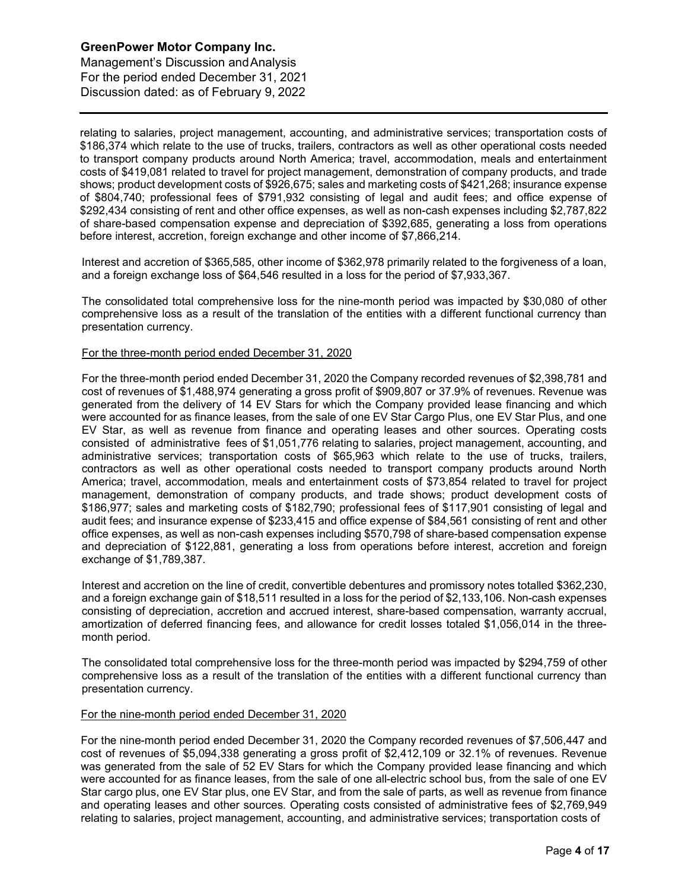Management's Discussion andAnalysis For the period ended December 31, 2021 Discussion dated: as of February 9, 2022

relating to salaries, project management, accounting, and administrative services; transportation costs of \$186,374 which relate to the use of trucks, trailers, contractors as well as other operational costs needed to transport company products around North America; travel, accommodation, meals and entertainment costs of \$419,081 related to travel for project management, demonstration of company products, and trade shows; product development costs of \$926,675; sales and marketing costs of \$421,268; insurance expense of \$804,740; professional fees of \$791,932 consisting of legal and audit fees; and office expense of \$292,434 consisting of rent and other office expenses, as well as non-cash expenses including \$2,787,822 of share-based compensation expense and depreciation of \$392,685, generating a loss from operations before interest, accretion, foreign exchange and other income of \$7,866,214.

Interest and accretion of \$365,585, other income of \$362,978 primarily related to the forgiveness of a loan, and a foreign exchange loss of \$64,546 resulted in a loss for the period of \$7,933,367.

The consolidated total comprehensive loss for the nine-month period was impacted by \$30,080 of other comprehensive loss as a result of the translation of the entities with a different functional currency than presentation currency.

## For the three-month period ended December 31, 2020

For the three-month period ended December 31, 2020 the Company recorded revenues of \$2,398,781 and cost of revenues of \$1,488,974 generating a gross profit of \$909,807 or 37.9% of revenues. Revenue was generated from the delivery of 14 EV Stars for which the Company provided lease financing and which were accounted for as finance leases, from the sale of one EV Star Cargo Plus, one EV Star Plus, and one EV Star, as well as revenue from finance and operating leases and other sources. Operating costs consisted of administrative fees of \$1,051,776 relating to salaries, project management, accounting, and administrative services; transportation costs of \$65,963 which relate to the use of trucks, trailers, contractors as well as other operational costs needed to transport company products around North America; travel, accommodation, meals and entertainment costs of \$73,854 related to travel for project management, demonstration of company products, and trade shows; product development costs of \$186,977; sales and marketing costs of \$182,790; professional fees of \$117,901 consisting of legal and audit fees; and insurance expense of \$233,415 and office expense of \$84,561 consisting of rent and other office expenses, as well as non-cash expenses including \$570,798 of share-based compensation expense and depreciation of \$122,881, generating a loss from operations before interest, accretion and foreign exchange of \$1,789,387.

Interest and accretion on the line of credit, convertible debentures and promissory notes totalled \$362,230, and a foreign exchange gain of \$18,511 resulted in a loss for the period of \$2,133,106. Non-cash expenses consisting of depreciation, accretion and accrued interest, share-based compensation, warranty accrual, amortization of deferred financing fees, and allowance for credit losses totaled \$1,056,014 in the threemonth period.

The consolidated total comprehensive loss for the three-month period was impacted by \$294,759 of other comprehensive loss as a result of the translation of the entities with a different functional currency than presentation currency.

#### For the nine-month period ended December 31, 2020

For the nine-month period ended December 31, 2020 the Company recorded revenues of \$7,506,447 and cost of revenues of \$5,094,338 generating a gross profit of \$2,412,109 or 32.1% of revenues. Revenue was generated from the sale of 52 EV Stars for which the Company provided lease financing and which were accounted for as finance leases, from the sale of one all-electric school bus, from the sale of one EV Star cargo plus, one EV Star plus, one EV Star, and from the sale of parts, as well as revenue from finance and operating leases and other sources. Operating costs consisted of administrative fees of \$2,769,949 relating to salaries, project management, accounting, and administrative services; transportation costs of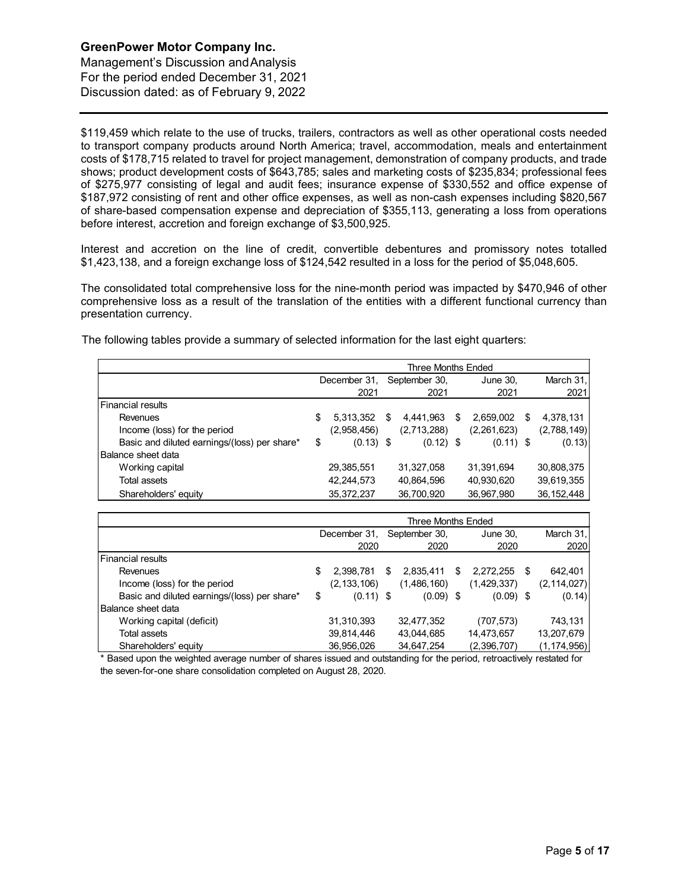Management's Discussion andAnalysis For the period ended December 31, 2021 Discussion dated: as of February 9, 2022

\$119,459 which relate to the use of trucks, trailers, contractors as well as other operational costs needed to transport company products around North America; travel, accommodation, meals and entertainment costs of \$178,715 related to travel for project management, demonstration of company products, and trade shows; product development costs of \$643,785; sales and marketing costs of \$235,834; professional fees of \$275,977 consisting of legal and audit fees; insurance expense of \$330,552 and office expense of \$187,972 consisting of rent and other office expenses, as well as non-cash expenses including \$820,567 of share-based compensation expense and depreciation of \$355,113, generating a loss from operations before interest, accretion and foreign exchange of \$3,500,925.

Interest and accretion on the line of credit, convertible debentures and promissory notes totalled \$1,423,138, and a foreign exchange loss of \$124,542 resulted in a loss for the period of \$5,048,605.

The consolidated total comprehensive loss for the nine-month period was impacted by \$470,946 of other comprehensive loss as a result of the translation of the entities with a different functional currency than presentation currency.

The following tables provide a summary of selected information for the last eight quarters:

|                                              | Three Months Ended |              |    |               |          |             |   |              |
|----------------------------------------------|--------------------|--------------|----|---------------|----------|-------------|---|--------------|
|                                              | December 31,       |              |    | September 30, | June 30, |             |   | March 31,    |
|                                              |                    | 2021         |    | 2021          |          | 2021        |   | 2021         |
| <b>I</b> Financial results                   |                    |              |    |               |          |             |   |              |
| Revenues                                     | \$                 | 5,313,352    | \$ | 4.441.963     | S        | 2,659,002   | S | 4,378,131    |
| Income (loss) for the period                 |                    | (2,958,456)  |    | (2,713,288)   |          | (2,261,623) |   | (2,788,149)  |
| Basic and diluted earnings/(loss) per share* | \$                 | $(0.13)$ \$  |    | $(0.12)$ \$   |          | $(0.11)$ \$ |   | (0.13)       |
| Balance sheet data                           |                    |              |    |               |          |             |   |              |
| Working capital                              |                    | 29,385,551   |    | 31,327,058    |          | 31,391,694  |   | 30,808,375   |
| Total assets                                 |                    | 42,244,573   |    | 40,864,596    |          | 40,930,620  |   | 39,619,355   |
| Shareholders' equity                         |                    | 35, 372, 237 |    | 36,700,920    |          | 36,967,980  |   | 36, 152, 448 |

|                                              | Three Months Ended |               |    |               |   |              |  |               |
|----------------------------------------------|--------------------|---------------|----|---------------|---|--------------|--|---------------|
|                                              | December 31,       |               |    | September 30, |   | June 30,     |  | March 31,     |
|                                              |                    | 2020          |    | 2020          |   | 2020         |  | 2020          |
| <b>I</b> Financial results                   |                    |               |    |               |   |              |  |               |
| Revenues                                     | \$                 | 2,398,781     | \$ | 2,835,411     | S | 2,272,255 \$ |  | 642,401       |
| Income (loss) for the period                 |                    | (2, 133, 106) |    | (1,486,160)   |   | (1,429,337)  |  | (2, 114, 027) |
| Basic and diluted earnings/(loss) per share* | \$                 | $(0.11)$ \$   |    | $(0.09)$ \$   |   | $(0.09)$ \$  |  | (0.14)        |
| Balance sheet data                           |                    |               |    |               |   |              |  |               |
| Working capital (deficit)                    |                    | 31,310,393    |    | 32,477,352    |   | (707, 573)   |  | 743.131       |
| Total assets                                 |                    | 39,814,446    |    | 43,044,685    |   | 14,473,657   |  | 13,207,679    |
| Shareholders' equity                         |                    | 36,956,026    |    | 34,647,254    |   | (2,396,707)  |  | (1, 174, 956) |

\* Based upon the weighted average number of shares issued and outstanding for the period, retroactively restated for the seven-for-one share consolidation completed on August 28, 2020.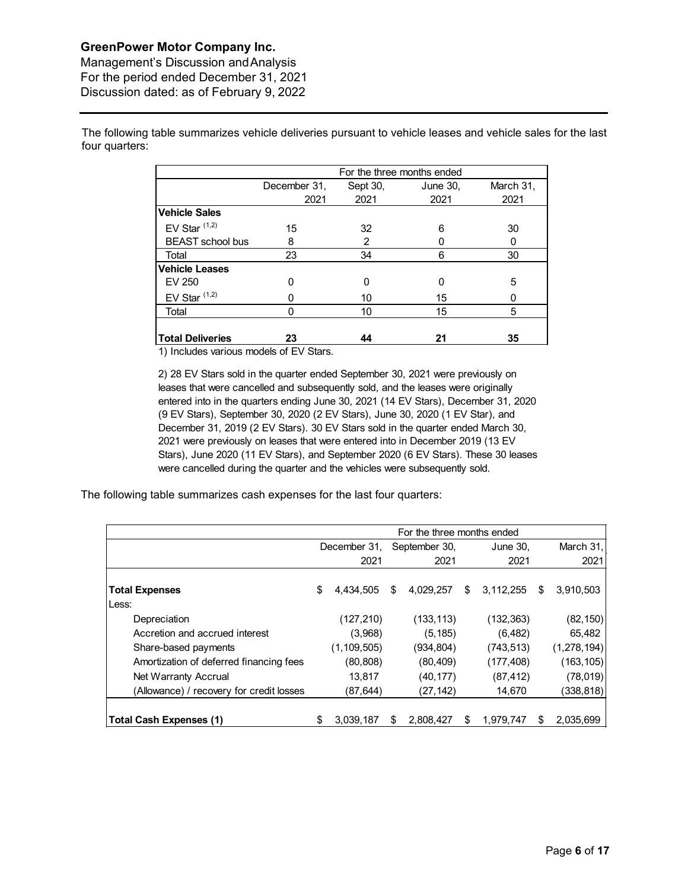Management's Discussion andAnalysis For the period ended December 31, 2021 Discussion dated: as of February 9, 2022

The following table summarizes vehicle deliveries pursuant to vehicle leases and vehicle sales for the last four quarters:

|                         | For the three months ended |          |          |           |  |  |  |  |  |
|-------------------------|----------------------------|----------|----------|-----------|--|--|--|--|--|
|                         | December 31,               | Sept 30, | June 30, | March 31, |  |  |  |  |  |
|                         | 2021                       | 2021     | 2021     | 2021      |  |  |  |  |  |
| <b>Vehicle Sales</b>    |                            |          |          |           |  |  |  |  |  |
| EV Star $(1,2)$         | 15                         | 32       | 6        | 30        |  |  |  |  |  |
| <b>BEAST</b> school bus | 8                          | 2        |          | 0         |  |  |  |  |  |
| Total                   | 23                         | 34       | 6        | 30        |  |  |  |  |  |
| <b>Vehicle Leases</b>   |                            |          |          |           |  |  |  |  |  |
| EV 250                  |                            | 0        | 0        | 5         |  |  |  |  |  |
| EV Star $(1,2)$         |                            | 10       | 15       | Ω         |  |  |  |  |  |
| Total                   | O                          | 10       | 15       | 5         |  |  |  |  |  |
| <b>Total Deliveries</b> | 23                         | 44       | 21       | 35        |  |  |  |  |  |

1) Includes various models of EV Stars.

2) 28 EV Stars sold in the quarter ended September 30, 2021 were previously on leases that were cancelled and subsequently sold, and the leases were originally entered into in the quarters ending June 30, 2021 (14 EV Stars), December 31, 2020 (9 EV Stars), September 30, 2020 (2 EV Stars), June 30, 2020 (1 EV Star), and December 31, 2019 (2 EV Stars). 30 EV Stars sold in the quarter ended March 30, 2021 were previously on leases that were entered into in December 2019 (13 EV Stars), June 2020 (11 EV Stars), and September 2020 (6 EV Stars). These 30 leases were cancelled during the quarter and the vehicles were subsequently sold.

The following table summarizes cash expenses for the last four quarters:

|                                          | For the three months ended |               |    |               |    |            |   |             |
|------------------------------------------|----------------------------|---------------|----|---------------|----|------------|---|-------------|
|                                          | December 31,               |               |    | September 30, |    | June 30,   |   |             |
|                                          |                            | 2021          |    | 2021          |    | 2021       |   | 2021        |
| <b>Total Expenses</b>                    | \$                         | 4.434.505     | \$ | 4.029.257     | \$ | 3,112,255  | S | 3,910,503   |
| Less:                                    |                            |               |    |               |    |            |   |             |
| Depreciation                             |                            | (127, 210)    |    | (133, 113)    |    | (132, 363) |   | (82, 150)   |
| Accretion and accrued interest           |                            | (3,968)       |    | (5, 185)      |    | (6, 482)   |   | 65,482      |
| Share-based payments                     |                            | (1, 109, 505) |    | (934, 804)    |    | (743, 513) |   | (1,278,194) |
| Amortization of deferred financing fees  |                            | (80, 808)     |    | (80, 409)     |    | (177, 408) |   | (163, 105)  |
| Net Warranty Accrual                     |                            | 13,817        |    | (40, 177)     |    | (87, 412)  |   | (78,019)    |
| (Allowance) / recovery for credit losses |                            | (87,644)      |    | (27,142)      |    | 14,670     |   | (338, 818)  |
|                                          |                            |               |    |               |    |            |   |             |
| <b>Total Cash Expenses (1)</b>           | S                          | 3,039,187     | S  | 2.808.427     | \$ | 1.979.747  | S | 2.035.699   |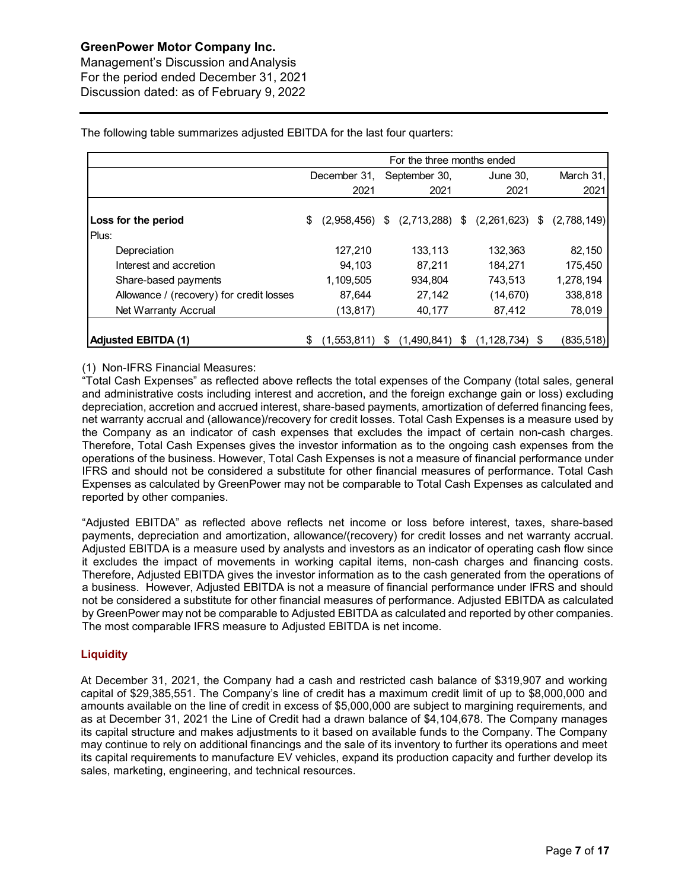Management's Discussion andAnalysis For the period ended December 31, 2021 Discussion dated: as of February 9, 2022

The following table summarizes adjusted EBITDA for the last four quarters:

|                                          | For the three months ended |             |    |               |   |                                   |  |             |
|------------------------------------------|----------------------------|-------------|----|---------------|---|-----------------------------------|--|-------------|
|                                          | December 31.               |             |    | September 30, |   | June 30.                          |  | March 31,   |
|                                          |                            | 2021        |    | 2021          |   | 2021                              |  | 2021        |
| Loss for the period<br>Plus:             | \$                         | (2,958,456) | S. |               |   | $(2,713,288)$ \$ $(2,261,623)$ \$ |  | (2,788,149) |
| Depreciation                             |                            | 127,210     |    | 133,113       |   | 132,363                           |  | 82,150      |
| Interest and accretion                   |                            | 94.103      |    | 87.211        |   | 184,271                           |  | 175,450     |
| Share-based payments                     |                            | 1,109,505   |    | 934,804       |   | 743,513                           |  | 1,278,194   |
| Allowance / (recovery) for credit losses |                            | 87,644      |    | 27,142        |   | (14, 670)                         |  | 338,818     |
| Net Warranty Accrual                     |                            | (13, 817)   |    | 40,177        |   | 87,412                            |  | 78,019      |
|                                          |                            |             |    |               |   |                                   |  |             |
| <b>Adjusted EBITDA (1)</b>               | S                          | (1,553,811) | \$ | (1,490,841)   | S | $(1, 128, 734)$ \$                |  | (835, 518)  |

## (1) Non-IFRS Financial Measures:

"Total Cash Expenses" as reflected above reflects the total expenses of the Company (total sales, general and administrative costs including interest and accretion, and the foreign exchange gain or loss) excluding depreciation, accretion and accrued interest, share-based payments, amortization of deferred financing fees, net warranty accrual and (allowance)/recovery for credit losses. Total Cash Expenses is a measure used by the Company as an indicator of cash expenses that excludes the impact of certain non-cash charges. Therefore, Total Cash Expenses gives the investor information as to the ongoing cash expenses from the operations of the business. However, Total Cash Expenses is not a measure of financial performance under IFRS and should not be considered a substitute for other financial measures of performance. Total Cash Expenses as calculated by GreenPower may not be comparable to Total Cash Expenses as calculated and reported by other companies.

"Adjusted EBITDA" as reflected above reflects net income or loss before interest, taxes, share-based payments, depreciation and amortization, allowance/(recovery) for credit losses and net warranty accrual. Adjusted EBITDA is a measure used by analysts and investors as an indicator of operating cash flow since it excludes the impact of movements in working capital items, non-cash charges and financing costs. Therefore, Adjusted EBITDA gives the investor information as to the cash generated from the operations of a business. However, Adjusted EBITDA is not a measure of financial performance under IFRS and should not be considered a substitute for other financial measures of performance. Adjusted EBITDA as calculated by GreenPower may not be comparable to Adjusted EBITDA as calculated and reported by other companies. The most comparable IFRS measure to Adjusted EBITDA is net income.

## **Liquidity**

At December 31, 2021, the Company had a cash and restricted cash balance of \$319,907 and working capital of \$29,385,551. The Company's line of credit has a maximum credit limit of up to \$8,000,000 and amounts available on the line of credit in excess of \$5,000,000 are subject to margining requirements, and as at December 31, 2021 the Line of Credit had a drawn balance of \$4,104,678. The Company manages its capital structure and makes adjustments to it based on available funds to the Company. The Company may continue to rely on additional financings and the sale of its inventory to further its operations and meet its capital requirements to manufacture EV vehicles, expand its production capacity and further develop its sales, marketing, engineering, and technical resources.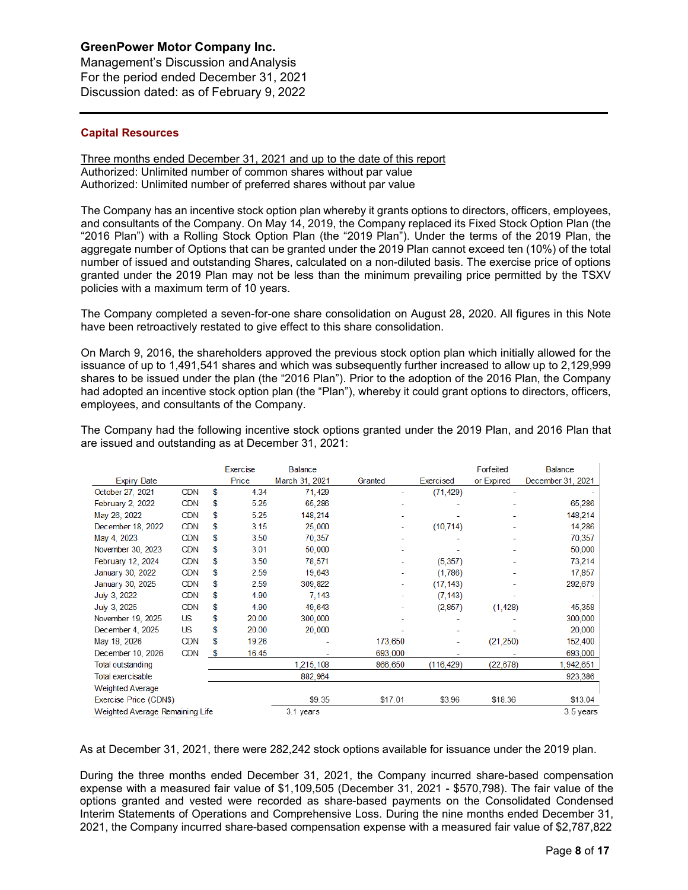Management's Discussion andAnalysis For the period ended December 31, 2021 Discussion dated: as of February 9, 2022

## **Capital Resources**

#### Three months ended December 31, 2021 and up to the date of this report Authorized: Unlimited number of common shares without par value Authorized: Unlimited number of preferred shares without par value

The Company has an incentive stock option plan whereby it grants options to directors, officers, employees, and consultants of the Company. On May 14, 2019, the Company replaced its Fixed Stock Option Plan (the "2016 Plan") with a Rolling Stock Option Plan (the "2019 Plan"). Under the terms of the 2019 Plan, the aggregate number of Options that can be granted under the 2019 Plan cannot exceed ten (10%) of the total number of issued and outstanding Shares, calculated on a non-diluted basis. The exercise price of options granted under the 2019 Plan may not be less than the minimum prevailing price permitted by the TSXV policies with a maximum term of 10 years.

The Company completed a seven-for-one share consolidation on August 28, 2020. All figures in this Note have been retroactively restated to give effect to this share consolidation.

On March 9, 2016, the shareholders approved the previous stock option plan which initially allowed for the issuance of up to 1,491,541 shares and which was subsequently further increased to allow up to 2,129,999 shares to be issued under the plan (the "2016 Plan"). Prior to the adoption of the 2016 Plan, the Company had adopted an incentive stock option plan (the "Plan"), whereby it could grant options to directors, officers, employees, and consultants of the Company.

|                                 |            |    | Exercise | <b>Balance</b> |         |            | Forfeited  | <b>Balance</b>    |
|---------------------------------|------------|----|----------|----------------|---------|------------|------------|-------------------|
|                                 |            |    |          |                |         |            |            |                   |
| <b>Expiry Date</b>              |            |    | Price    | March 31, 2021 | Granted | Exercised  | or Expired | December 31, 2021 |
| October 27, 2021                | CDN        | S  | 4.34     | 71,429         | ۰       | (71, 429)  |            |                   |
| February 2, 2022                | <b>CDN</b> | \$ | 5.25     | 65,286         |         |            |            | 65,286            |
| May 26, 2022                    | CDN        | S  | 5.25     | 148,214        |         |            |            | 148,214           |
| December 18, 2022               | CDN        | \$ | 3.15     | 25,000         |         | (10, 714)  |            | 14,286            |
| May 4, 2023                     | <b>CDN</b> | \$ | 3.50     | 70,357         |         |            |            | 70,357            |
| November 30, 2023               | <b>CDN</b> | S  | 3.01     | 50,000         |         |            |            | 50,000            |
| February 12, 2024               | CDN        | \$ | 3.50     | 78,571         |         | (5, 357)   |            | 73,214            |
| January 30, 2022                | CDN        | \$ | 2.59     | 19,643         |         | (1,786)    |            | 17,857            |
| January 30, 2025                | <b>CDN</b> | S  | 2.59     | 309,822        | ٠       | (17, 143)  |            | 292,679           |
| July 3, 2022                    | CDN        | \$ | 4.90     | 7,143          |         | (7, 143)   |            |                   |
| July 3, 2025                    | <b>CDN</b> | \$ | 4.90     | 49,643         |         | (2, 857)   | (1, 428)   | 45,358            |
| November 19, 2025               | US         | \$ | 20.00    | 300,000        |         |            |            | 300,000           |
| December 4, 2025                | US         | \$ | 20.00    | 20,000         |         |            |            | 20,000            |
| May 18, 2026                    | CDN        | \$ | 19.26    |                | 173,650 |            | (21, 250)  | 152,400           |
| December 10, 2026               | CDN        | \$ | 16.45    |                | 693,000 |            |            | 693,000           |
| Total outstanding               |            |    |          | 1,215,108      | 866,650 | (116, 429) | (22, 678)  | 1,942,651         |
| Total exercisable               |            |    |          | 882,964        |         |            |            | 923,386           |
| <b>Weighted Average</b>         |            |    |          |                |         |            |            |                   |
| Exercise Price (CDN\$)          |            |    |          | \$9.35         | \$17.01 | \$3.96     | \$18.36    | \$13.04           |
| Weighted Average Remaining Life |            |    |          | 3.1 years      |         |            |            | 3.5 years         |

The Company had the following incentive stock options granted under the 2019 Plan, and 2016 Plan that are issued and outstanding as at December 31, 2021:

As at December 31, 2021, there were 282,242 stock options available for issuance under the 2019 plan.

During the three months ended December 31, 2021, the Company incurred share-based compensation expense with a measured fair value of \$1,109,505 (December 31, 2021 - \$570,798). The fair value of the options granted and vested were recorded as share-based payments on the Consolidated Condensed Interim Statements of Operations and Comprehensive Loss. During the nine months ended December 31, 2021, the Company incurred share-based compensation expense with a measured fair value of \$2,787,822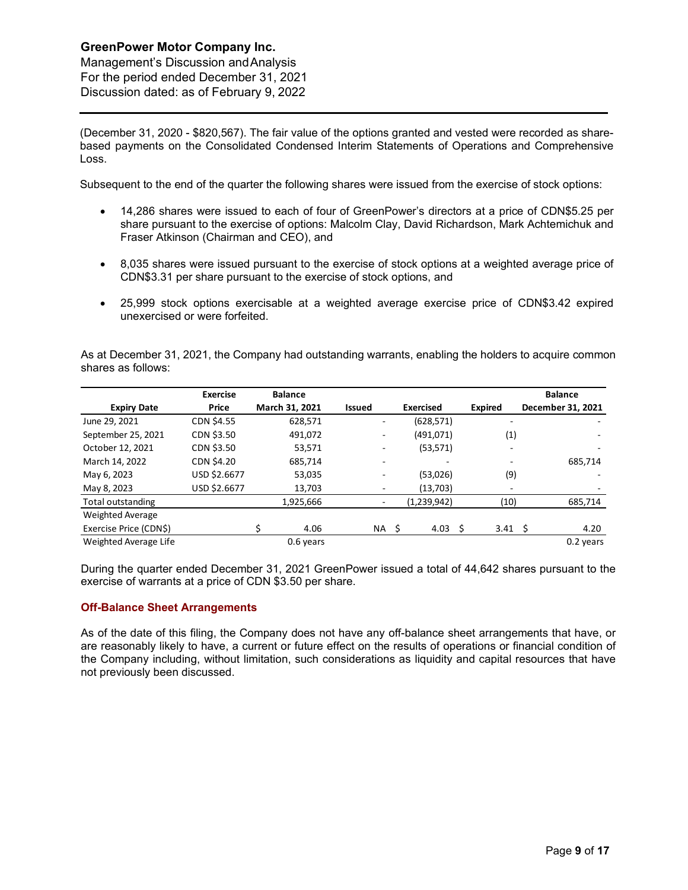Management's Discussion andAnalysis For the period ended December 31, 2021 Discussion dated: as of February 9, 2022

(December 31, 2020 - \$820,567). The fair value of the options granted and vested were recorded as sharebased payments on the Consolidated Condensed Interim Statements of Operations and Comprehensive Loss.

Subsequent to the end of the quarter the following shares were issued from the exercise of stock options:

- 14,286 shares were issued to each of four of GreenPower's directors at a price of CDN\$5.25 per share pursuant to the exercise of options: Malcolm Clay, David Richardson, Mark Achtemichuk and Fraser Atkinson (Chairman and CEO), and
- 8,035 shares were issued pursuant to the exercise of stock options at a weighted average price of CDN\$3.31 per share pursuant to the exercise of stock options, and
- 25,999 stock options exercisable at a weighted average exercise price of CDN\$3.42 expired unexercised or were forfeited.

As at December 31, 2021, the Company had outstanding warrants, enabling the holders to acquire common shares as follows:

|                         | <b>Exercise</b>   | <b>Balance</b> |               |                  |                       | <b>Balance</b>    |
|-------------------------|-------------------|----------------|---------------|------------------|-----------------------|-------------------|
| <b>Expiry Date</b>      | Price             | March 31, 2021 | <b>Issued</b> | <b>Exercised</b> | <b>Expired</b>        | December 31, 2021 |
| June 29, 2021           | <b>CDN \$4.55</b> | 628,571        | ۰.            | (628, 571)       | ٠                     |                   |
| September 25, 2021      | CDN \$3.50        | 491,072        | ۰             | (491,071)        | (1)                   |                   |
| October 12, 2021        | CDN \$3.50        | 53,571         | ٠             | (53, 571)        | ۰                     | ٠                 |
| March 14, 2022          | CDN \$4.20        | 685,714        | ۰             |                  |                       | 685,714           |
| May 6, 2023             | USD \$2.6677      | 53,035         | ٠             | (53,026)         | (9)                   |                   |
| May 8, 2023             | USD \$2.6677      | 13,703         |               | (13,703)         | -                     |                   |
| Total outstanding       |                   | 1,925,666      |               | (1,239,942)      | (10)                  | 685,714           |
| <b>Weighted Average</b> |                   |                |               |                  |                       |                   |
| Exercise Price (CDN\$)  |                   | 4.06           | NA \$         | 4.03             | -Ś<br>$3.41 \quad$ \$ | 4.20              |
| Weighted Average Life   |                   | 0.6 years      |               |                  |                       | 0.2 years         |

During the quarter ended December 31, 2021 GreenPower issued a total of 44,642 shares pursuant to the exercise of warrants at a price of CDN \$3.50 per share.

#### **Off-Balance Sheet Arrangements**

As of the date of this filing, the Company does not have any off-balance sheet arrangements that have, or are reasonably likely to have, a current or future effect on the results of operations or financial condition of the Company including, without limitation, such considerations as liquidity and capital resources that have not previously been discussed.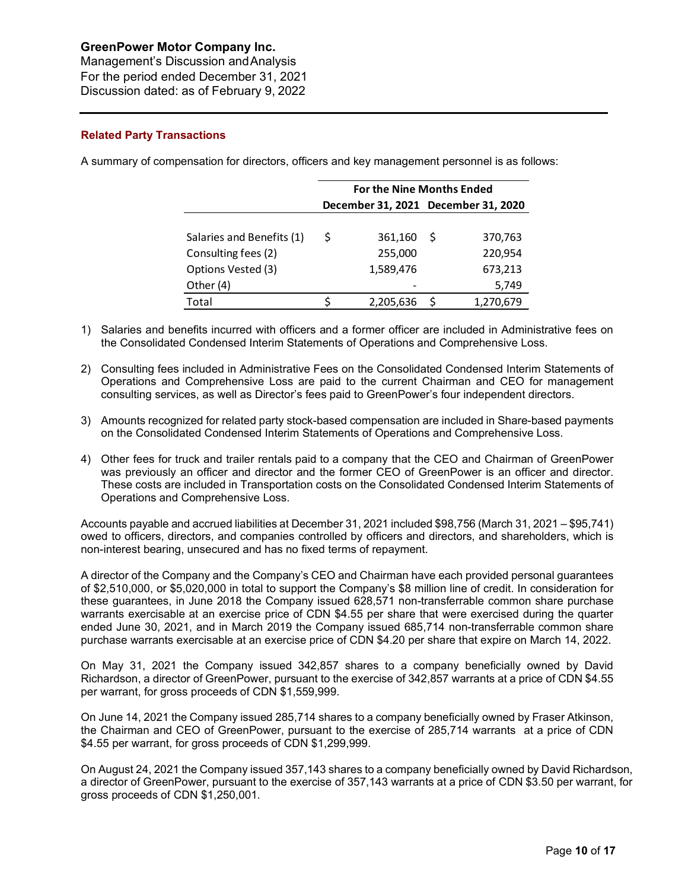Management's Discussion andAnalysis For the period ended December 31, 2021 Discussion dated: as of February 9, 2022

## **Related Party Transactions**

A summary of compensation for directors, officers and key management personnel is as follows:

|                           | <b>For the Nine Months Ended</b> |           |                                     |           |  |  |  |  |  |  |
|---------------------------|----------------------------------|-----------|-------------------------------------|-----------|--|--|--|--|--|--|
|                           |                                  |           | December 31, 2021 December 31, 2020 |           |  |  |  |  |  |  |
|                           |                                  |           |                                     |           |  |  |  |  |  |  |
| Salaries and Benefits (1) | Ś                                | 361,160   | S                                   | 370,763   |  |  |  |  |  |  |
| Consulting fees (2)       |                                  | 255,000   |                                     | 220,954   |  |  |  |  |  |  |
| Options Vested (3)        |                                  | 1,589,476 |                                     | 673,213   |  |  |  |  |  |  |
| Other (4)                 |                                  |           |                                     | 5,749     |  |  |  |  |  |  |
| Total                     |                                  | 2,205,636 |                                     | 1,270,679 |  |  |  |  |  |  |

- 1) Salaries and benefits incurred with officers and a former officer are included in Administrative fees on the Consolidated Condensed Interim Statements of Operations and Comprehensive Loss.
- 2) Consulting fees included in Administrative Fees on the Consolidated Condensed Interim Statements of Operations and Comprehensive Loss are paid to the current Chairman and CEO for management consulting services, as well as Director's fees paid to GreenPower's four independent directors.
- 3) Amounts recognized for related party stock-based compensation are included in Share-based payments on the Consolidated Condensed Interim Statements of Operations and Comprehensive Loss.
- 4) Other fees for truck and trailer rentals paid to a company that the CEO and Chairman of GreenPower was previously an officer and director and the former CEO of GreenPower is an officer and director. These costs are included in Transportation costs on the Consolidated Condensed Interim Statements of Operations and Comprehensive Loss.

Accounts payable and accrued liabilities at December 31, 2021 included \$98,756 (March 31, 2021 – \$95,741) owed to officers, directors, and companies controlled by officers and directors, and shareholders, which is non-interest bearing, unsecured and has no fixed terms of repayment.

A director of the Company and the Company's CEO and Chairman have each provided personal guarantees of \$2,510,000, or \$5,020,000 in total to support the Company's \$8 million line of credit. In consideration for these guarantees, in June 2018 the Company issued 628,571 non-transferrable common share purchase warrants exercisable at an exercise price of CDN \$4.55 per share that were exercised during the quarter ended June 30, 2021, and in March 2019 the Company issued 685,714 non-transferrable common share purchase warrants exercisable at an exercise price of CDN \$4.20 per share that expire on March 14, 2022.

On May 31, 2021 the Company issued 342,857 shares to a company beneficially owned by David Richardson, a director of GreenPower, pursuant to the exercise of 342,857 warrants at a price of CDN \$4.55 per warrant, for gross proceeds of CDN \$1,559,999.

On June 14, 2021 the Company issued 285,714 shares to a company beneficially owned by Fraser Atkinson, the Chairman and CEO of GreenPower, pursuant to the exercise of 285,714 warrants at a price of CDN \$4.55 per warrant, for gross proceeds of CDN \$1,299,999.

On August 24, 2021 the Company issued 357,143 shares to a company beneficially owned by David Richardson, a director of GreenPower, pursuant to the exercise of 357,143 warrants at a price of CDN \$3.50 per warrant, for gross proceeds of CDN \$1,250,001.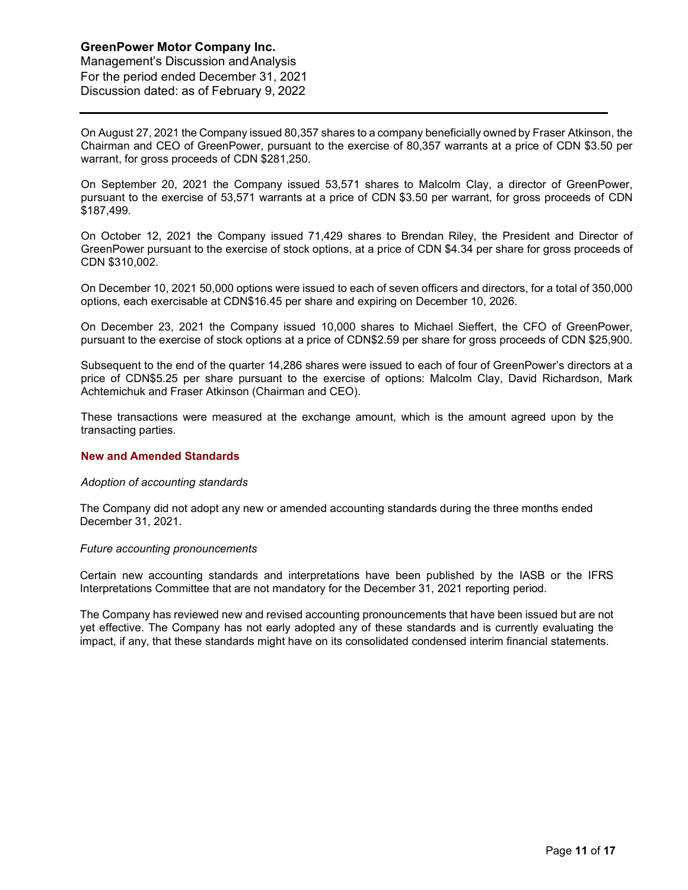Management's Discussion andAnalysis For the period ended December 31, 2021 Discussion dated: as of February 9, 2022

On August 27, 2021 the Company issued 80,357 shares to a company beneficially owned by Fraser Atkinson, the Chairman and CEO of GreenPower, pursuant to the exercise of 80,357 warrants at a price of CDN \$3.50 per warrant, for gross proceeds of CDN \$281,250.

On September 20, 2021 the Company issued 53,571 shares to Malcolm Clay, a director of GreenPower, pursuant to the exercise of 53,571 warrants at a price of CDN \$3.50 per warrant, for gross proceeds of CDN \$187,499.

On October 12, 2021 the Company issued 71,429 shares to Brendan Riley, the President and Director of GreenPower pursuant to the exercise of stock options, at a price of CDN \$4.34 per share for gross proceeds of CDN \$310,002.

On December 10, 2021 50,000 options were issued to each of seven officers and directors, for a total of 350,000 options, each exercisable at CDN\$16.45 per share and expiring on December 10, 2026.

On December 23, 2021 the Company issued 10,000 shares to Michael Sieffert, the CFO of GreenPower, pursuant to the exercise of stock options at a price of CDN\$2.59 per share for gross proceeds of CDN \$25,900.

Subsequent to the end of the quarter 14,286 shares were issued to each of four of GreenPower's directors at a price of CDN\$5.25 per share pursuant to the exercise of options: Malcolm Clay, David Richardson, Mark Achtemichuk and Fraser Atkinson (Chairman and CEO).

These transactions were measured at the exchange amount, which is the amount agreed upon by the transacting parties.

#### **New and Amended Standards**

#### *Adoption of accounting standards*

The Company did not adopt any new or amended accounting standards during the three months ended December 31, 2021.

#### *Future accounting pronouncements*

Certain new accounting standards and interpretations have been published by the IASB or the IFRS Interpretations Committee that are not mandatory for the December 31, 2021 reporting period.

The Company has reviewed new and revised accounting pronouncements that have been issued but are not yet effective. The Company has not early adopted any of these standards and is currently evaluating the impact, if any, that these standards might have on its consolidated condensed interim financial statements.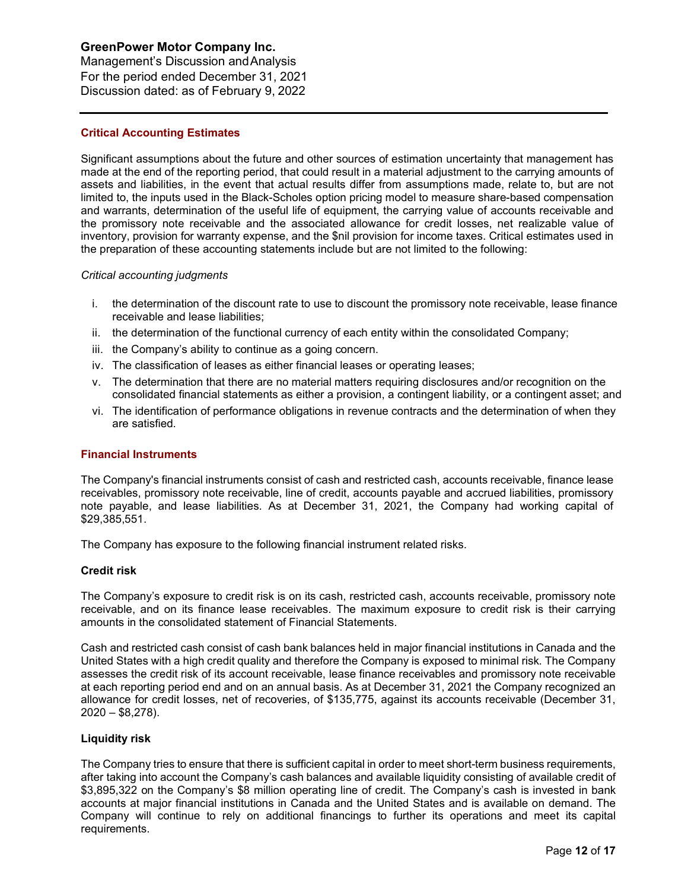Management's Discussion andAnalysis For the period ended December 31, 2021 Discussion dated: as of February 9, 2022

## **Critical Accounting Estimates**

Significant assumptions about the future and other sources of estimation uncertainty that management has made at the end of the reporting period, that could result in a material adjustment to the carrying amounts of assets and liabilities, in the event that actual results differ from assumptions made, relate to, but are not limited to, the inputs used in the Black-Scholes option pricing model to measure share-based compensation and warrants, determination of the useful life of equipment, the carrying value of accounts receivable and the promissory note receivable and the associated allowance for credit losses, net realizable value of inventory, provision for warranty expense, and the \$nil provision for income taxes. Critical estimates used in the preparation of these accounting statements include but are not limited to the following:

#### *Critical accounting judgments*

- i. the determination of the discount rate to use to discount the promissory note receivable, lease finance receivable and lease liabilities;
- ii. the determination of the functional currency of each entity within the consolidated Company;
- iii. the Company's ability to continue as a going concern.
- iv. The classification of leases as either financial leases or operating leases;
- v. The determination that there are no material matters requiring disclosures and/or recognition on the consolidated financial statements as either a provision, a contingent liability, or a contingent asset; and
- vi. The identification of performance obligations in revenue contracts and the determination of when they are satisfied.

#### **Financial Instruments**

The Company's financial instruments consist of cash and restricted cash, accounts receivable, finance lease receivables, promissory note receivable, line of credit, accounts payable and accrued liabilities, promissory note payable, and lease liabilities. As at December 31, 2021, the Company had working capital of \$29,385,551.

The Company has exposure to the following financial instrument related risks.

#### **Credit risk**

The Company's exposure to credit risk is on its cash, restricted cash, accounts receivable, promissory note receivable, and on its finance lease receivables. The maximum exposure to credit risk is their carrying amounts in the consolidated statement of Financial Statements.

Cash and restricted cash consist of cash bank balances held in major financial institutions in Canada and the United States with a high credit quality and therefore the Company is exposed to minimal risk. The Company assesses the credit risk of its account receivable, lease finance receivables and promissory note receivable at each reporting period end and on an annual basis. As at December 31, 2021 the Company recognized an allowance for credit losses, net of recoveries, of \$135,775, against its accounts receivable (December 31, 2020 – \$8,278).

#### **Liquidity risk**

The Company tries to ensure that there is sufficient capital in order to meet short-term business requirements, after taking into account the Company's cash balances and available liquidity consisting of available credit of \$3,895,322 on the Company's \$8 million operating line of credit. The Company's cash is invested in bank accounts at major financial institutions in Canada and the United States and is available on demand. The Company will continue to rely on additional financings to further its operations and meet its capital requirements.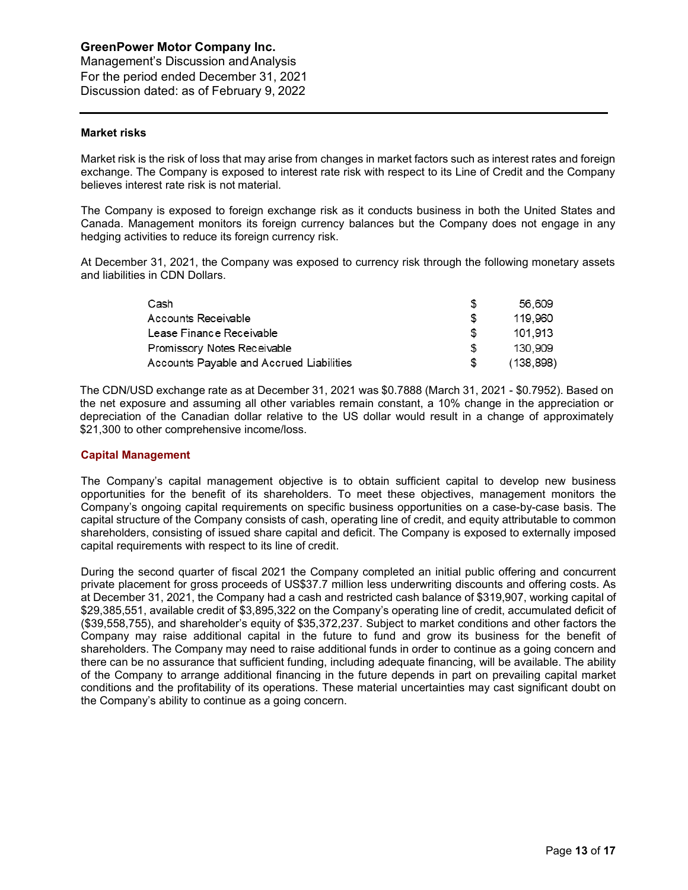Management's Discussion andAnalysis For the period ended December 31, 2021 Discussion dated: as of February 9, 2022

## **Market risks**

Market risk is the risk of loss that may arise from changes in market factors such as interest rates and foreign exchange. The Company is exposed to interest rate risk with respect to its Line of Credit and the Company believes interest rate risk is not material.

The Company is exposed to foreign exchange risk as it conducts business in both the United States and Canada. Management monitors its foreign currency balances but the Company does not engage in any hedging activities to reduce its foreign currency risk.

At December 31, 2021, the Company was exposed to currency risk through the following monetary assets and liabilities in CDN Dollars.

| Cash                                     | S   | 56.609     |
|------------------------------------------|-----|------------|
| Accounts Receivable                      | S   | 119.960    |
| Lease Finance Receivable                 | £.  | 101.913    |
| Promissory Notes Receivable              | S   | 130.909    |
| Accounts Payable and Accrued Liabilities | \$. | (138, 898) |

The CDN/USD exchange rate as at December 31, 2021 was \$0.7888 (March 31, 2021 - \$0.7952). Based on the net exposure and assuming all other variables remain constant, a 10% change in the appreciation or depreciation of the Canadian dollar relative to the US dollar would result in a change of approximately \$21,300 to other comprehensive income/loss.

#### **Capital Management**

The Company's capital management objective is to obtain sufficient capital to develop new business opportunities for the benefit of its shareholders. To meet these objectives, management monitors the Company's ongoing capital requirements on specific business opportunities on a case-by-case basis. The capital structure of the Company consists of cash, operating line of credit, and equity attributable to common shareholders, consisting of issued share capital and deficit. The Company is exposed to externally imposed capital requirements with respect to its line of credit.

During the second quarter of fiscal 2021 the Company completed an initial public offering and concurrent private placement for gross proceeds of US\$37.7 million less underwriting discounts and offering costs. As at December 31, 2021, the Company had a cash and restricted cash balance of \$319,907, working capital of \$29,385,551, available credit of \$3,895,322 on the Company's operating line of credit, accumulated deficit of (\$39,558,755), and shareholder's equity of \$35,372,237. Subject to market conditions and other factors the Company may raise additional capital in the future to fund and grow its business for the benefit of shareholders. The Company may need to raise additional funds in order to continue as a going concern and there can be no assurance that sufficient funding, including adequate financing, will be available. The ability of the Company to arrange additional financing in the future depends in part on prevailing capital market conditions and the profitability of its operations. These material uncertainties may cast significant doubt on the Company's ability to continue as a going concern.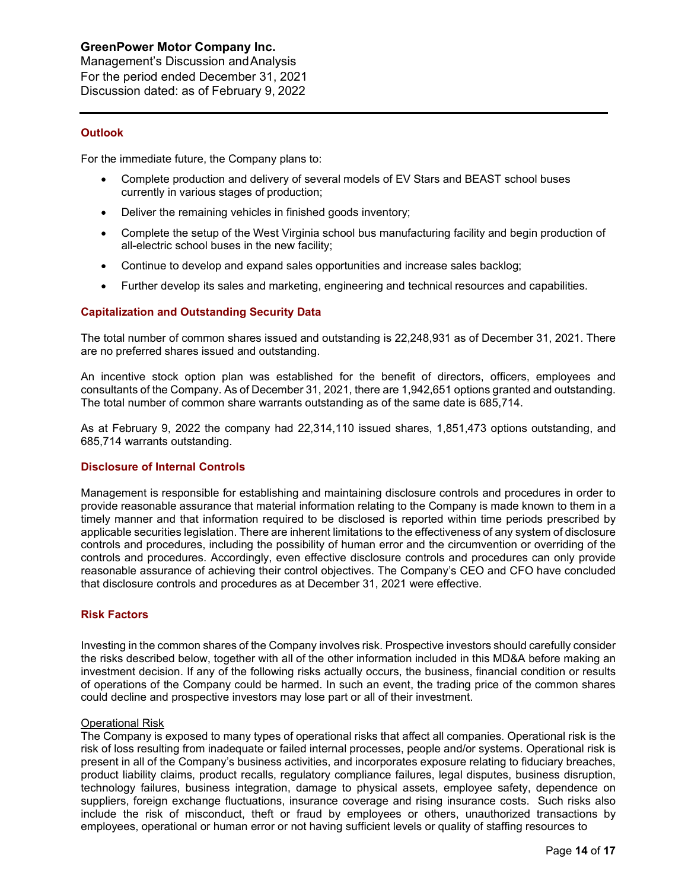Management's Discussion andAnalysis For the period ended December 31, 2021 Discussion dated: as of February 9, 2022

## **Outlook**

For the immediate future, the Company plans to:

- Complete production and delivery of several models of EV Stars and BEAST school buses currently in various stages of production;
- Deliver the remaining vehicles in finished goods inventory;
- Complete the setup of the West Virginia school bus manufacturing facility and begin production of all-electric school buses in the new facility;
- Continue to develop and expand sales opportunities and increase sales backlog;
- Further develop its sales and marketing, engineering and technical resources and capabilities.

## **Capitalization and Outstanding Security Data**

The total number of common shares issued and outstanding is 22,248,931 as of December 31, 2021. There are no preferred shares issued and outstanding.

An incentive stock option plan was established for the benefit of directors, officers, employees and consultants of the Company. As of December 31, 2021, there are 1,942,651 options granted and outstanding. The total number of common share warrants outstanding as of the same date is 685,714.

As at February 9, 2022 the company had 22,314,110 issued shares, 1,851,473 options outstanding, and 685,714 warrants outstanding.

## **Disclosure of Internal Controls**

Management is responsible for establishing and maintaining disclosure controls and procedures in order to provide reasonable assurance that material information relating to the Company is made known to them in a timely manner and that information required to be disclosed is reported within time periods prescribed by applicable securities legislation. There are inherent limitations to the effectiveness of any system of disclosure controls and procedures, including the possibility of human error and the circumvention or overriding of the controls and procedures. Accordingly, even effective disclosure controls and procedures can only provide reasonable assurance of achieving their control objectives. The Company's CEO and CFO have concluded that disclosure controls and procedures as at December 31, 2021 were effective.

#### **Risk Factors**

Investing in the common shares of the Company involves risk. Prospective investors should carefully consider the risks described below, together with all of the other information included in this MD&A before making an investment decision. If any of the following risks actually occurs, the business, financial condition or results of operations of the Company could be harmed. In such an event, the trading price of the common shares could decline and prospective investors may lose part or all of their investment.

#### Operational Risk

The Company is exposed to many types of operational risks that affect all companies. Operational risk is the risk of loss resulting from inadequate or failed internal processes, people and/or systems. Operational risk is present in all of the Company's business activities, and incorporates exposure relating to fiduciary breaches, product liability claims, product recalls, regulatory compliance failures, legal disputes, business disruption, technology failures, business integration, damage to physical assets, employee safety, dependence on suppliers, foreign exchange fluctuations, insurance coverage and rising insurance costs. Such risks also include the risk of misconduct, theft or fraud by employees or others, unauthorized transactions by employees, operational or human error or not having sufficient levels or quality of staffing resources to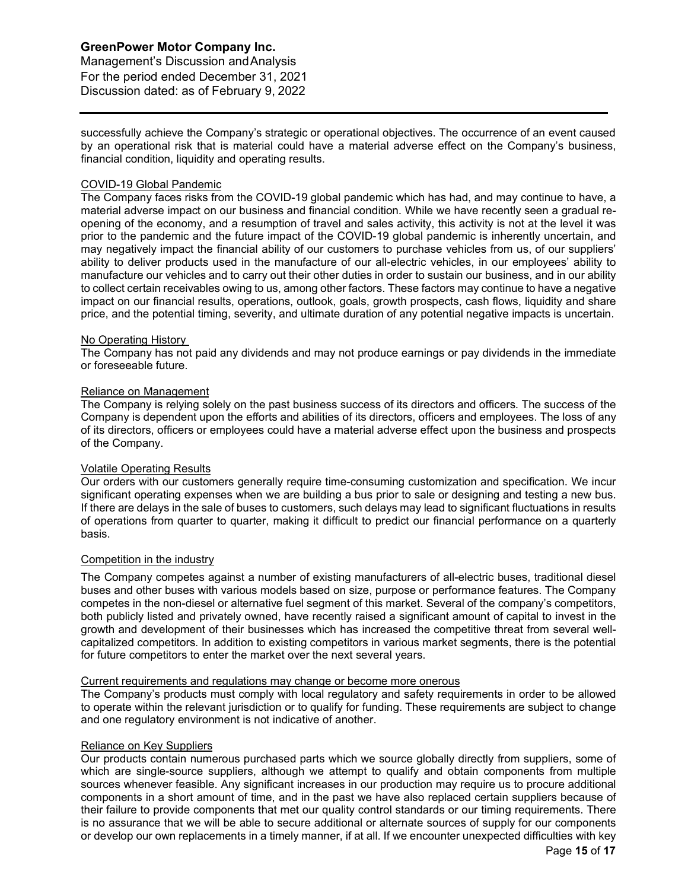Management's Discussion andAnalysis For the period ended December 31, 2021 Discussion dated: as of February 9, 2022

successfully achieve the Company's strategic or operational objectives. The occurrence of an event caused by an operational risk that is material could have a material adverse effect on the Company's business, financial condition, liquidity and operating results.

## COVID-19 Global Pandemic

The Company faces risks from the COVID-19 global pandemic which has had, and may continue to have, a material adverse impact on our business and financial condition. While we have recently seen a gradual reopening of the economy, and a resumption of travel and sales activity, this activity is not at the level it was prior to the pandemic and the future impact of the COVID-19 global pandemic is inherently uncertain, and may negatively impact the financial ability of our customers to purchase vehicles from us, of our suppliers' ability to deliver products used in the manufacture of our all-electric vehicles, in our employees' ability to manufacture our vehicles and to carry out their other duties in order to sustain our business, and in our ability to collect certain receivables owing to us, among other factors. These factors may continue to have a negative impact on our financial results, operations, outlook, goals, growth prospects, cash flows, liquidity and share price, and the potential timing, severity, and ultimate duration of any potential negative impacts is uncertain.

#### No Operating History

The Company has not paid any dividends and may not produce earnings or pay dividends in the immediate or foreseeable future.

## Reliance on Management

The Company is relying solely on the past business success of its directors and officers. The success of the Company is dependent upon the efforts and abilities of its directors, officers and employees. The loss of any of its directors, officers or employees could have a material adverse effect upon the business and prospects of the Company.

## Volatile Operating Results

Our orders with our customers generally require time-consuming customization and specification. We incur significant operating expenses when we are building a bus prior to sale or designing and testing a new bus. If there are delays in the sale of buses to customers, such delays may lead to significant fluctuations in results of operations from quarter to quarter, making it difficult to predict our financial performance on a quarterly basis.

#### Competition in the industry

The Company competes against a number of existing manufacturers of all-electric buses, traditional diesel buses and other buses with various models based on size, purpose or performance features. The Company competes in the non-diesel or alternative fuel segment of this market. Several of the company's competitors, both publicly listed and privately owned, have recently raised a significant amount of capital to invest in the growth and development of their businesses which has increased the competitive threat from several wellcapitalized competitors. In addition to existing competitors in various market segments, there is the potential for future competitors to enter the market over the next several years.

#### Current requirements and regulations may change or become more onerous

The Company's products must comply with local regulatory and safety requirements in order to be allowed to operate within the relevant jurisdiction or to qualify for funding. These requirements are subject to change and one regulatory environment is not indicative of another.

#### Reliance on Key Suppliers

Our products contain numerous purchased parts which we source globally directly from suppliers, some of which are single-source suppliers, although we attempt to qualify and obtain components from multiple sources whenever feasible. Any significant increases in our production may require us to procure additional components in a short amount of time, and in the past we have also replaced certain suppliers because of their failure to provide components that met our quality control standards or our timing requirements. There is no assurance that we will be able to secure additional or alternate sources of supply for our components or develop our own replacements in a timely manner, if at all. If we encounter unexpected difficulties with key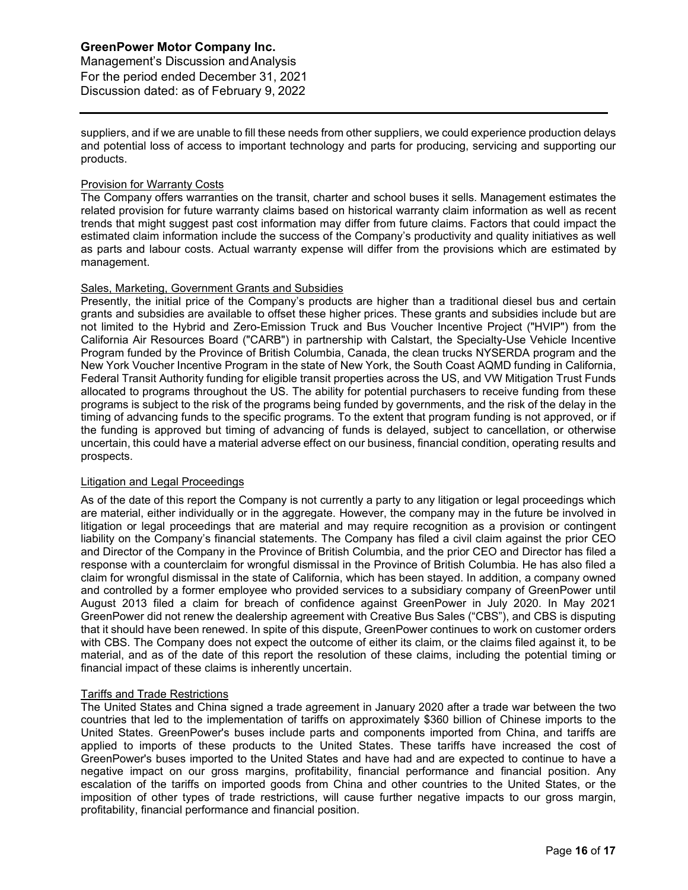Management's Discussion andAnalysis For the period ended December 31, 2021 Discussion dated: as of February 9, 2022

suppliers, and if we are unable to fill these needs from other suppliers, we could experience production delays and potential loss of access to important technology and parts for producing, servicing and supporting our products.

#### Provision for Warranty Costs

The Company offers warranties on the transit, charter and school buses it sells. Management estimates the related provision for future warranty claims based on historical warranty claim information as well as recent trends that might suggest past cost information may differ from future claims. Factors that could impact the estimated claim information include the success of the Company's productivity and quality initiatives as well as parts and labour costs. Actual warranty expense will differ from the provisions which are estimated by management.

## Sales, Marketing, Government Grants and Subsidies

Presently, the initial price of the Company's products are higher than a traditional diesel bus and certain grants and subsidies are available to offset these higher prices. These grants and subsidies include but are not limited to the Hybrid and Zero-Emission Truck and Bus Voucher Incentive Project ("HVIP") from the California Air Resources Board ("CARB") in partnership with Calstart, the Specialty-Use Vehicle Incentive Program funded by the Province of British Columbia, Canada, the clean trucks NYSERDA program and the New York Voucher Incentive Program in the state of New York, the South Coast AQMD funding in California, Federal Transit Authority funding for eligible transit properties across the US, and VW Mitigation Trust Funds allocated to programs throughout the US. The ability for potential purchasers to receive funding from these programs is subject to the risk of the programs being funded by governments, and the risk of the delay in the timing of advancing funds to the specific programs. To the extent that program funding is not approved, or if the funding is approved but timing of advancing of funds is delayed, subject to cancellation, or otherwise uncertain, this could have a material adverse effect on our business, financial condition, operating results and prospects.

## Litigation and Legal Proceedings

As of the date of this report the Company is not currently a party to any litigation or legal proceedings which are material, either individually or in the aggregate. However, the company may in the future be involved in litigation or legal proceedings that are material and may require recognition as a provision or contingent liability on the Company's financial statements. The Company has filed a civil claim against the prior CEO and Director of the Company in the Province of British Columbia, and the prior CEO and Director has filed a response with a counterclaim for wrongful dismissal in the Province of British Columbia. He has also filed a claim for wrongful dismissal in the state of California, which has been stayed. In addition, a company owned and controlled by a former employee who provided services to a subsidiary company of GreenPower until August 2013 filed a claim for breach of confidence against GreenPower in July 2020. In May 2021 GreenPower did not renew the dealership agreement with Creative Bus Sales ("CBS"), and CBS is disputing that it should have been renewed. In spite of this dispute, GreenPower continues to work on customer orders with CBS. The Company does not expect the outcome of either its claim, or the claims filed against it, to be material, and as of the date of this report the resolution of these claims, including the potential timing or financial impact of these claims is inherently uncertain.

## Tariffs and Trade Restrictions

The United States and China signed a trade agreement in January 2020 after a trade war between the two countries that led to the implementation of tariffs on approximately \$360 billion of Chinese imports to the United States. GreenPower's buses include parts and components imported from China, and tariffs are applied to imports of these products to the United States. These tariffs have increased the cost of GreenPower's buses imported to the United States and have had and are expected to continue to have a negative impact on our gross margins, profitability, financial performance and financial position. Any escalation of the tariffs on imported goods from China and other countries to the United States, or the imposition of other types of trade restrictions, will cause further negative impacts to our gross margin, profitability, financial performance and financial position.